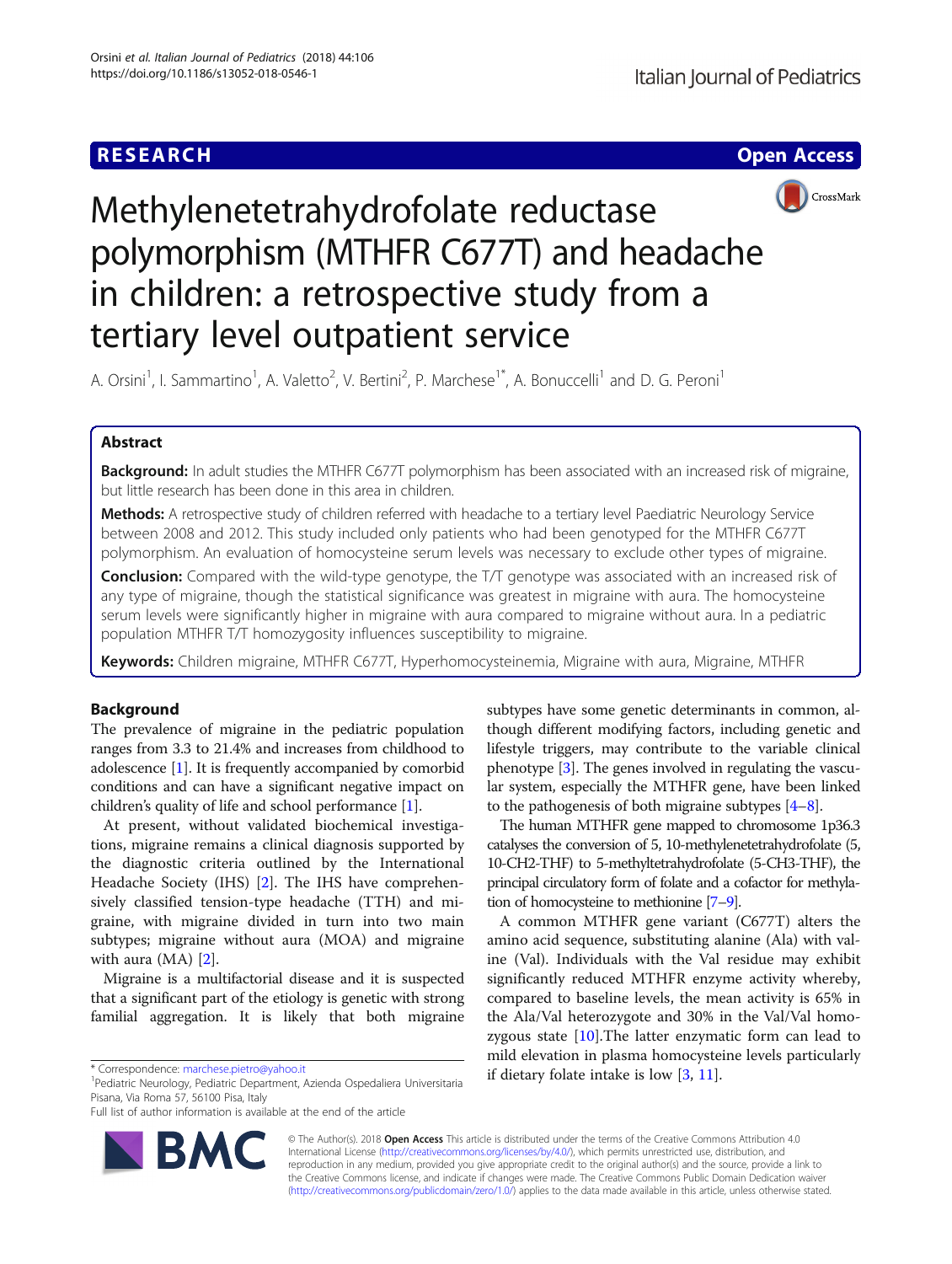## **RESEARCH CHE Open Access**



# Methylenetetrahydrofolate reductase polymorphism (MTHFR C677T) and headache in children: a retrospective study from a tertiary level outpatient service

A. Orsini<sup>1</sup>, I. Sammartino<sup>1</sup>, A. Valetto<sup>2</sup>, V. Bertini<sup>2</sup>, P. Marchese<sup>1\*</sup>, A. Bonuccelli<sup>1</sup> and D. G. Peroni<sup>1</sup>

## Abstract

Background: In adult studies the MTHFR C677T polymorphism has been associated with an increased risk of migraine, but little research has been done in this area in children.

Methods: A retrospective study of children referred with headache to a tertiary level Paediatric Neurology Service between 2008 and 2012. This study included only patients who had been genotyped for the MTHFR C677T polymorphism. An evaluation of homocysteine serum levels was necessary to exclude other types of migraine.

**Conclusion:** Compared with the wild-type genotype, the T/T genotype was associated with an increased risk of any type of migraine, though the statistical significance was greatest in migraine with aura. The homocysteine serum levels were significantly higher in migraine with aura compared to migraine without aura. In a pediatric population MTHFR T/T homozygosity influences susceptibility to migraine.

Keywords: Children migraine, MTHFR C677T, Hyperhomocysteinemia, Migraine with aura, Migraine, MTHFR

## Background

The prevalence of migraine in the pediatric population ranges from 3.3 to 21.4% and increases from childhood to adolescence [\[1\]](#page-4-0). It is frequently accompanied by comorbid conditions and can have a significant negative impact on children's quality of life and school performance [\[1\]](#page-4-0).

At present, without validated biochemical investigations, migraine remains a clinical diagnosis supported by the diagnostic criteria outlined by the International Headache Society (IHS) [[2](#page-4-0)]. The IHS have comprehensively classified tension-type headache (TTH) and migraine, with migraine divided in turn into two main subtypes; migraine without aura (MOA) and migraine with aura (MA) [[2\]](#page-4-0).

Migraine is a multifactorial disease and it is suspected that a significant part of the etiology is genetic with strong familial aggregation. It is likely that both migraine

<sup>1</sup> Pediatric Neurology, Pediatric Department, Azienda Ospedaliera Universitaria Pisana, Via Roma 57, 56100 Pisa, Italy

Full list of author information is available at the end of the article



subtypes have some genetic determinants in common, although different modifying factors, including genetic and lifestyle triggers, may contribute to the variable clinical phenotype [\[3](#page-5-0)]. The genes involved in regulating the vascular system, especially the MTHFR gene, have been linked to the pathogenesis of both migraine subtypes  $[4-8]$  $[4-8]$  $[4-8]$ .

The human MTHFR gene mapped to chromosome 1p36.3 catalyses the conversion of 5, 10-methylenetetrahydrofolate (5, 10-CH2-THF) to 5-methyltetrahydrofolate (5-CH3-THF), the principal circulatory form of folate and a cofactor for methylation of homocysteine to methionine [[7](#page-5-0)–[9](#page-5-0)].

A common MTHFR gene variant (C677T) alters the amino acid sequence, substituting alanine (Ala) with valine (Val). Individuals with the Val residue may exhibit significantly reduced MTHFR enzyme activity whereby, compared to baseline levels, the mean activity is 65% in the Ala/Val heterozygote and 30% in the Val/Val homozygous state [\[10](#page-5-0)].The latter enzymatic form can lead to mild elevation in plasma homocysteine levels particularly if dietary folate intake is low [[3,](#page-5-0) [11\]](#page-5-0). \* Correspondence: [marchese.pietro@yahoo.it](mailto:marchese.pietro@yahoo.it) <sup>1</sup>

> © The Author(s). 2018 Open Access This article is distributed under the terms of the Creative Commons Attribution 4.0 International License [\(http://creativecommons.org/licenses/by/4.0/](http://creativecommons.org/licenses/by/4.0/)), which permits unrestricted use, distribution, and reproduction in any medium, provided you give appropriate credit to the original author(s) and the source, provide a link to the Creative Commons license, and indicate if changes were made. The Creative Commons Public Domain Dedication waiver [\(http://creativecommons.org/publicdomain/zero/1.0/](http://creativecommons.org/publicdomain/zero/1.0/)) applies to the data made available in this article, unless otherwise stated.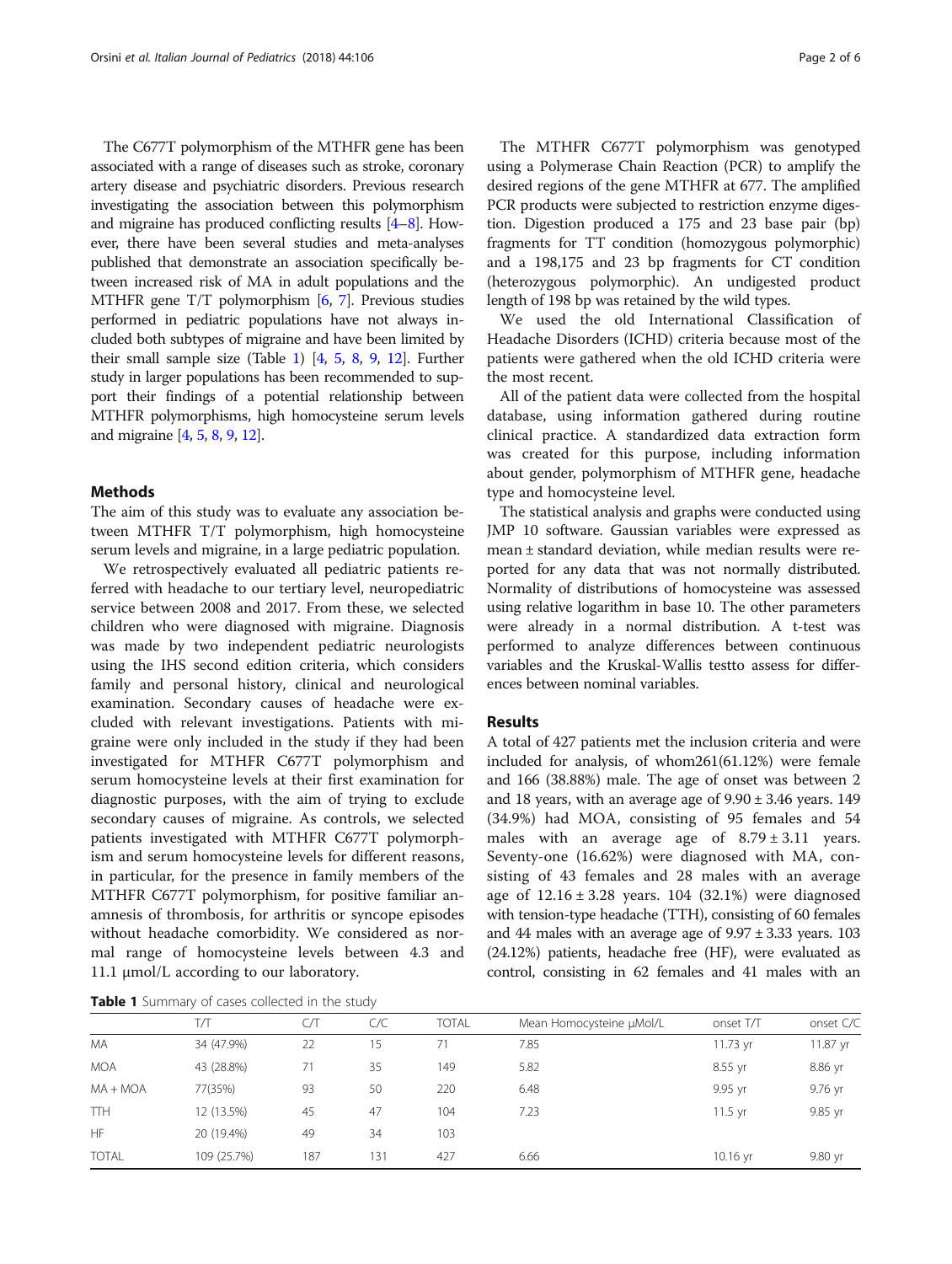<span id="page-1-0"></span>The C677T polymorphism of the MTHFR gene has been associated with a range of diseases such as stroke, coronary artery disease and psychiatric disorders. Previous research investigating the association between this polymorphism and migraine has produced conflicting results [[4](#page-5-0)–[8\]](#page-5-0). However, there have been several studies and meta-analyses published that demonstrate an association specifically between increased risk of MA in adult populations and the MTHFR gene Т/Т polymorphism [\[6,](#page-5-0) [7\]](#page-5-0). Previous studies performed in pediatric populations have not always included both subtypes of migraine and have been limited by their small sample size (Table 1) [\[4,](#page-5-0) [5,](#page-5-0) [8,](#page-5-0) [9,](#page-5-0) [12\]](#page-5-0). Further study in larger populations has been recommended to support their findings of a potential relationship between MTHFR polymorphisms, high homocysteine serum levels and migraine [[4,](#page-5-0) [5,](#page-5-0) [8](#page-5-0), [9](#page-5-0), [12\]](#page-5-0).

#### Methods

The aim of this study was to evaluate any association between MTHFR T/T polymorphism, high homocysteine serum levels and migraine, in a large pediatric population.

We retrospectively evaluated all pediatric patients referred with headache to our tertiary level, neuropediatric service between 2008 and 2017. From these, we selected children who were diagnosed with migraine. Diagnosis was made by two independent pediatric neurologists using the IHS second edition criteria, which considers family and personal history, clinical and neurological examination. Secondary causes of headache were excluded with relevant investigations. Patients with migraine were only included in the study if they had been investigated for MTHFR C677T polymorphism and serum homocysteine levels at their first examination for diagnostic purposes, with the aim of trying to exclude secondary causes of migraine. As controls, we selected patients investigated with MTHFR C677T polymorphism and serum homocysteine levels for different reasons, in particular, for the presence in family members of the MTHFR C677T polymorphism, for positive familiar anamnesis of thrombosis, for arthritis or syncope episodes without headache comorbidity. We considered as normal range of homocysteine levels between 4.3 and 11.1 μmol/L according to our laboratory.

| Table 1 Summary of cases collected in the study |
|-------------------------------------------------|
|-------------------------------------------------|

The MTHFR C677T polymorphism was genotyped using a Polymerase Chain Reaction (PCR) to amplify the desired regions of the gene MTHFR at 677. The amplified PCR products were subjected to restriction enzyme digestion. Digestion produced a 175 and 23 base pair (bp) fragments for TT condition (homozygous polymorphic) and a 198,175 and 23 bp fragments for CT condition (heterozygous polymorphic). An undigested product length of 198 bp was retained by the wild types.

We used the old International Classification of Headache Disorders (ICHD) criteria because most of the patients were gathered when the old ICHD criteria were the most recent.

All of the patient data were collected from the hospital database, using information gathered during routine clinical practice. A standardized data extraction form was created for this purpose, including information about gender, polymorphism of MTHFR gene, headache type and homocysteine level.

The statistical analysis and graphs were conducted using JMP 10 software. Gaussian variables were expressed as mean ± standard deviation, while median results were reported for any data that was not normally distributed. Normality of distributions of homocysteine was assessed using relative logarithm in base 10. The other parameters were already in a normal distribution. A t-test was performed to analyze differences between continuous variables and the Kruskal-Wallis testto assess for differences between nominal variables.

## Results

A total of 427 patients met the inclusion criteria and were included for analysis, of whom261(61.12%) were female and 166 (38.88%) male. The age of onset was between 2 and 18 years, with an average age of  $9.90 \pm 3.46$  years. 149 (34.9%) had MOA, consisting of 95 females and 54 males with an average age of  $8.79 \pm 3.11$  years. Seventy-one (16.62%) were diagnosed with MA, consisting of 43 females and 28 males with an average age of  $12.16 \pm 3.28$  years. 104 (32.1%) were diagnosed with tension-type headache (TTH), consisting of 60 females and 44 males with an average age of  $9.97 \pm 3.33$  years. 103 (24.12%) patients, headache free (HF), were evaluated as control, consisting in 62 females and 41 males with an

|              | ТЛ          | CЛ  | C/C | <b>TOTAL</b> | Mean Homocysteine µMol/L | onset T/T | onset C/C |
|--------------|-------------|-----|-----|--------------|--------------------------|-----------|-----------|
| MA           | 34 (47.9%)  | 22  | 15  | 71           | 7.85                     | 11.73 yr  | 11.87 yr  |
| <b>MOA</b>   | 43 (28.8%)  | 71  | 35  | 149          | 5.82                     | 8.55 yr   | 8.86 yr   |
| $MA + MOA$   | 77(35%)     | 93  | 50  | 220          | 6.48                     | 9.95 yr   | 9.76 yr   |
| <b>TTH</b>   | 12 (13.5%)  | 45  | 47  | 104          | 7.23                     | $11.5$ yr | 9.85 yr   |
| <b>HF</b>    | 20 (19.4%)  | 49  | 34  | 103          |                          |           |           |
| <b>TOTAL</b> | 109 (25.7%) | 187 | 131 | 427          | 6.66                     | 10.16 yr  | 9.80 yr   |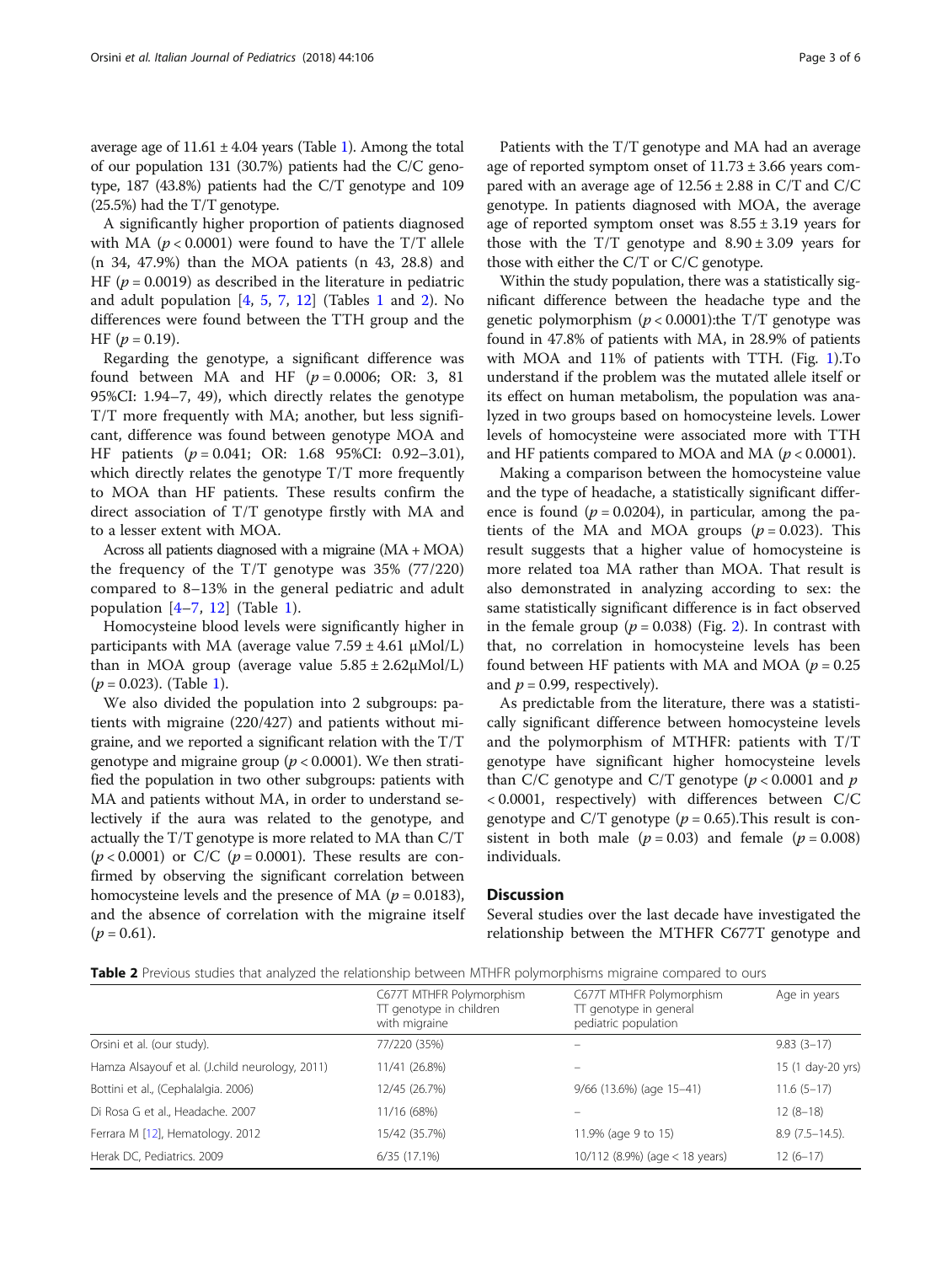<span id="page-2-0"></span>average age of  $11.61 \pm 4.04$  years (Table [1\)](#page-1-0). Among the total of our population 131 (30.7%) patients had the C/C genotype, 187 (43.8%) patients had the C/T genotype and 109 (25.5%) had the T/T genotype.

A significantly higher proportion of patients diagnosed with MA ( $p < 0.0001$ ) were found to have the T/T allele (n 34, 47.9%) than the MOA patients (n 43, 28.8) and HF ( $p = 0.0019$ ) as described in the literature in pediatric and adult population  $[4, 5, 7, 12]$  $[4, 5, 7, 12]$  $[4, 5, 7, 12]$  $[4, 5, 7, 12]$  $[4, 5, 7, 12]$  $[4, 5, 7, 12]$  $[4, 5, 7, 12]$  $[4, 5, 7, 12]$  $[4, 5, 7, 12]$  (Tables [1](#page-1-0) and 2). No differences were found between the TTH group and the HF  $(p = 0.19)$ .

Regarding the genotype, a significant difference was found between MA and HF  $(p = 0.0006; \text{ OR: } 3, 81)$ 95%CI: 1.94–7, 49), which directly relates the genotype T/T more frequently with MA; another, but less significant, difference was found between genotype MOA and HF patients (p = 0.041; OR: 1.68 95%CI: 0.92–3.01), which directly relates the genotype T/T more frequently to MOA than HF patients. These results confirm the direct association of T/T genotype firstly with MA and to a lesser extent with MOA.

Across all patients diagnosed with a migraine (MA + MOA) the frequency of the  $T/T$  genotype was 35% (77/220) compared to 8–13% in the general pediatric and adult population  $[4-7, 12]$  $[4-7, 12]$  $[4-7, 12]$  $[4-7, 12]$  $[4-7, 12]$  $[4-7, 12]$  (Table [1\)](#page-1-0).

Homocysteine blood levels were significantly higher in participants with MA (average value  $7.59 \pm 4.61 \mu$ Mol/L) than in MOA group (average value  $5.85 \pm 2.62 \mu$ Mol/L)  $(p = 0.023)$ . (Table [1\)](#page-1-0).

We also divided the population into 2 subgroups: patients with migraine (220/427) and patients without migraine, and we reported a significant relation with the T/T genotype and migraine group ( $p < 0.0001$ ). We then stratified the population in two other subgroups: patients with MA and patients without MA, in order to understand selectively if the aura was related to the genotype, and actually the T/T genotype is more related to MA than C/T  $(p < 0.0001)$  or C/C  $(p = 0.0001)$ . These results are confirmed by observing the significant correlation between homocysteine levels and the presence of MA ( $p = 0.0183$ ), and the absence of correlation with the migraine itself  $(p = 0.61)$ .

Patients with the T/T genotype and MA had an average age of reported symptom onset of  $11.73 \pm 3.66$  years compared with an average age of  $12.56 \pm 2.88$  in C/T and C/C genotype. In patients diagnosed with MOA, the average age of reported symptom onset was  $8.55 \pm 3.19$  years for those with the T/T genotype and  $8.90 \pm 3.09$  years for those with either the C/T or C/C genotype.

Within the study population, there was a statistically significant difference between the headache type and the genetic polymorphism  $(p < 0.0001)$ :the T/T genotype was found in 47.8% of patients with MA, in 28.9% of patients with MOA and 11% of patients with TTH. (Fig. [1\)](#page-3-0).To understand if the problem was the mutated allele itself or its effect on human metabolism, the population was analyzed in two groups based on homocysteine levels. Lower levels of homocysteine were associated more with TTH and HF patients compared to MOA and MA ( $p < 0.0001$ ).

Making a comparison between the homocysteine value and the type of headache, a statistically significant difference is found ( $p = 0.0204$ ), in particular, among the patients of the MA and MOA groups  $(p = 0.023)$ . This result suggests that a higher value of homocysteine is more related toa MA rather than MOA. That result is also demonstrated in analyzing according to sex: the same statistically significant difference is in fact observed in the female group ( $p = 0.038$ ) (Fig. [2\)](#page-3-0). In contrast with that, no correlation in homocysteine levels has been found between HF patients with MA and MOA ( $p = 0.25$ ) and  $p = 0.99$ , respectively).

As predictable from the literature, there was a statistically significant difference between homocysteine levels and the polymorphism of MTHFR: patients with T/T genotype have significant higher homocysteine levels than C/C genotype and C/T genotype ( $p < 0.0001$  and  $p$ ) < 0.0001, respectively) with differences between C/C genotype and C/T genotype ( $p = 0.65$ ). This result is consistent in both male  $(p = 0.03)$  and female  $(p = 0.008)$ individuals.

### **Discussion**

Several studies over the last decade have investigated the relationship between the MTHFR C677T genotype and

|  |  | Table 2 Previous studies that analyzed the relationship between MTHFR polymorphisms migraine compared to ours |
|--|--|---------------------------------------------------------------------------------------------------------------|
|--|--|---------------------------------------------------------------------------------------------------------------|

|                                                 | C677T MTHFR Polymorphism<br>TT genotype in children<br>with migraine | C677T MTHFR Polymorphism<br>TT genotype in general<br>pediatric population | Age in years      |
|-------------------------------------------------|----------------------------------------------------------------------|----------------------------------------------------------------------------|-------------------|
| Orsini et al. (our study).                      | 77/220 (35%)                                                         | -                                                                          | $9.83(3 - 17)$    |
| Hamza Alsayouf et al. (J.child neurology, 2011) | 11/41 (26.8%)                                                        |                                                                            | 15 (1 day-20 yrs) |
| Bottini et al., (Cephalalgia. 2006)             | 12/45 (26.7%)                                                        | 9/66 (13.6%) (age 15-41)                                                   | $11.6(5-17)$      |
| Di Rosa G et al., Headache. 2007                | 11/16 (68%)                                                          |                                                                            | $12(8-18)$        |
| Ferrara M [12], Hematology. 2012                | 15/42 (35.7%)                                                        | 11.9% (age 9 to 15)                                                        | $8.9(7.5-14.5)$ . |
| Herak DC, Pediatrics. 2009                      | 6/35 (17.1%)                                                         | 10/112 (8.9%) (age $<$ 18 years)                                           | $12(6-17)$        |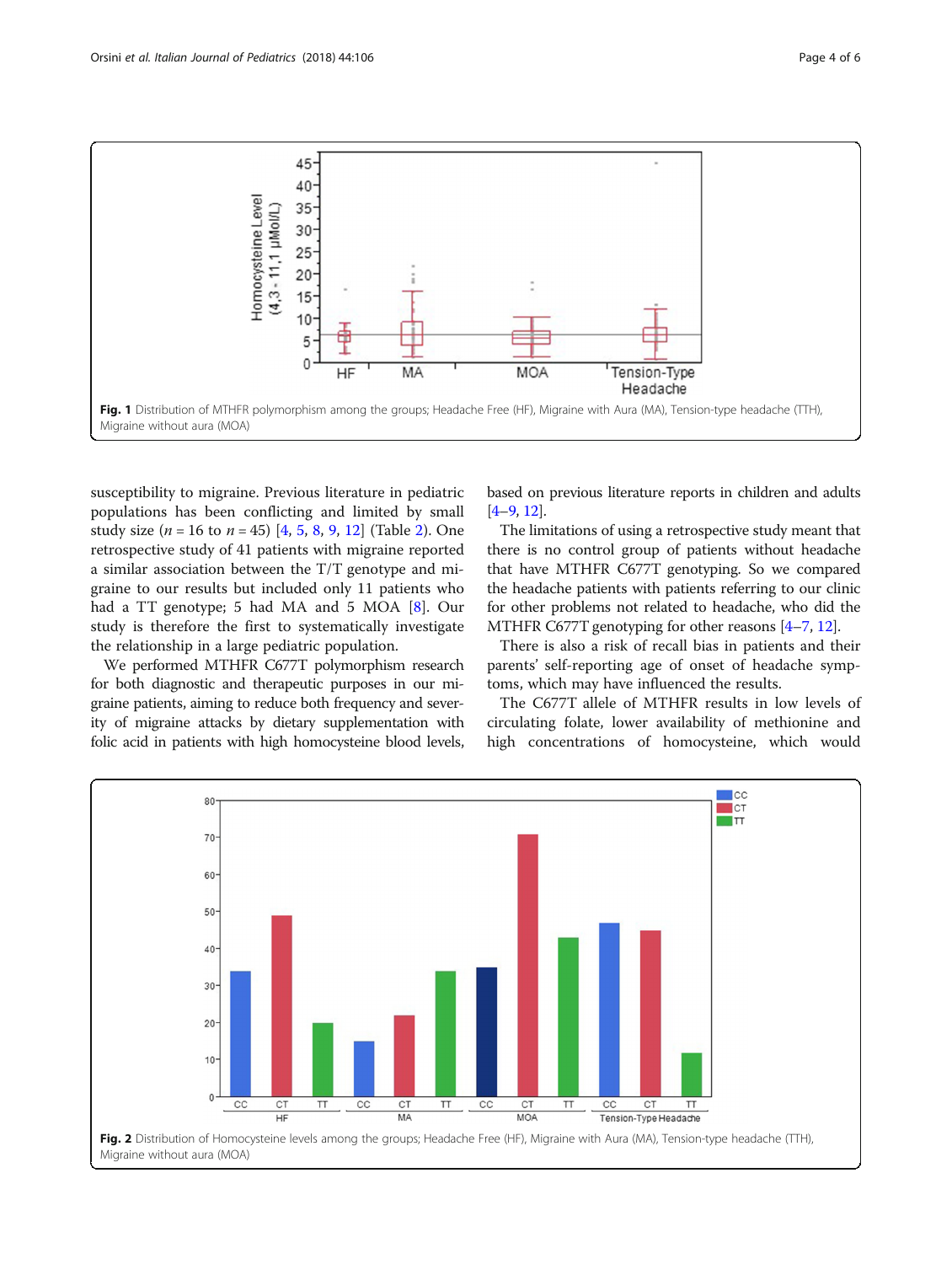<span id="page-3-0"></span>

susceptibility to migraine. Previous literature in pediatric populations has been conflicting and limited by small study size  $(n = 16$  to  $n = 45)$  [[4,](#page-5-0) [5,](#page-5-0) [8,](#page-5-0) [9,](#page-5-0) [12](#page-5-0)] (Table [2\)](#page-2-0). One retrospective study of 41 patients with migraine reported a similar association between the T/T genotype and migraine to our results but included only 11 patients who had a TT genotype; 5 had MA and 5 MOA [[8\]](#page-5-0). Our study is therefore the first to systematically investigate the relationship in a large pediatric population.

We performed MTHFR C677T polymorphism research for both diagnostic and therapeutic purposes in our migraine patients, aiming to reduce both frequency and severity of migraine attacks by dietary supplementation with folic acid in patients with high homocysteine blood levels,

based on previous literature reports in children and adults [[4](#page-5-0)–[9,](#page-5-0) [12\]](#page-5-0).

The limitations of using a retrospective study meant that there is no control group of patients without headache that have MTHFR C677T genotyping. So we compared the headache patients with patients referring to our clinic for other problems not related to headache, who did the MTHFR C677T genotyping for other reasons [\[4](#page-5-0)–[7,](#page-5-0) [12](#page-5-0)].

There is also a risk of recall bias in patients and their parents' self-reporting age of onset of headache symptoms, which may have influenced the results.

The C677T allele of MTHFR results in low levels of circulating folate, lower availability of methionine and high concentrations of homocysteine, which would

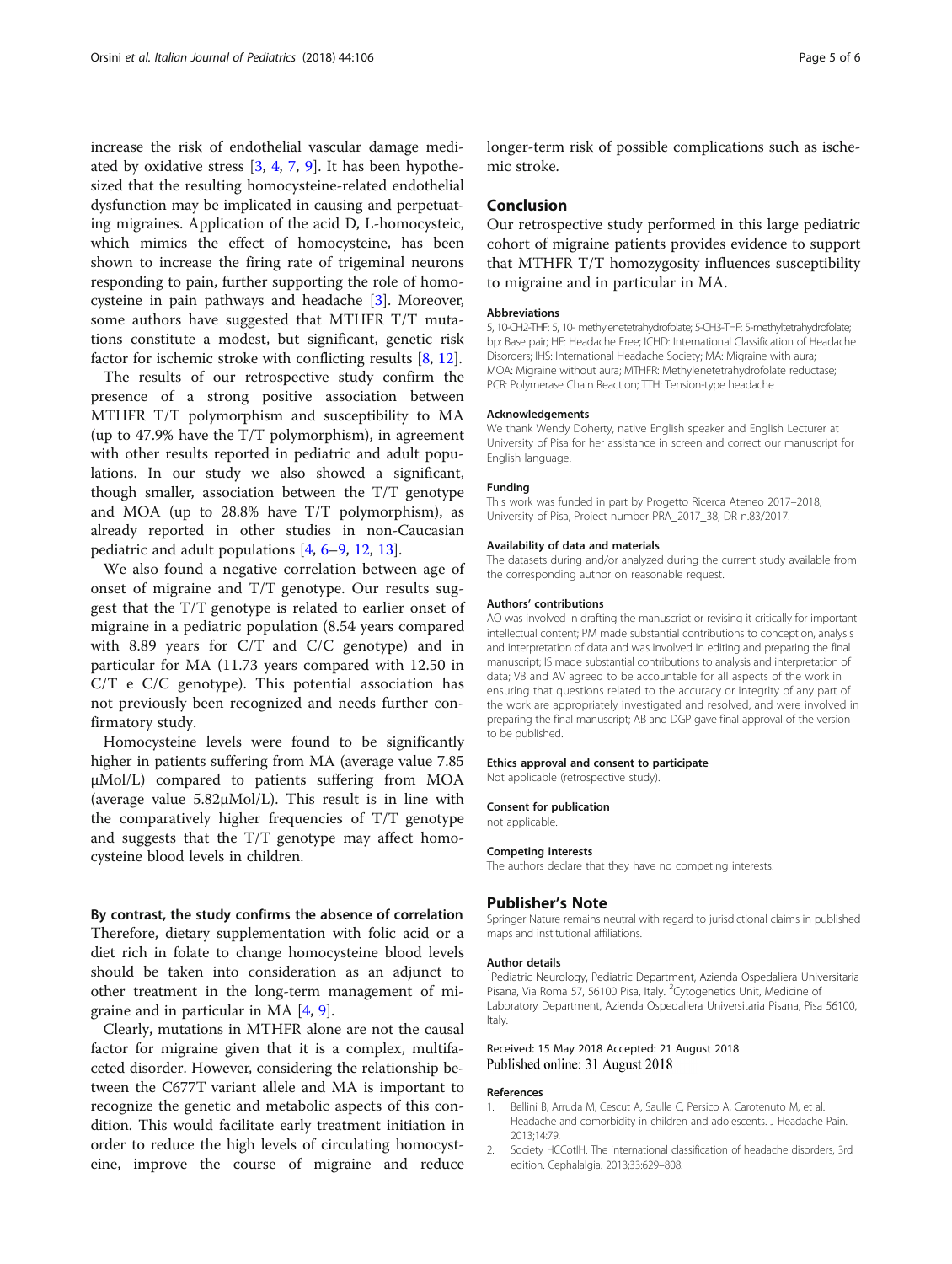<span id="page-4-0"></span>increase the risk of endothelial vascular damage mediated by oxidative stress  $[3, 4, 7, 9]$  $[3, 4, 7, 9]$  $[3, 4, 7, 9]$  $[3, 4, 7, 9]$  $[3, 4, 7, 9]$  $[3, 4, 7, 9]$  $[3, 4, 7, 9]$ . It has been hypothesized that the resulting homocysteine-related endothelial dysfunction may be implicated in causing and perpetuating migraines. Application of the acid D, L-homocysteic, which mimics the effect of homocysteine, has been shown to increase the firing rate of trigeminal neurons responding to pain, further supporting the role of homocysteine in pain pathways and headache [[3](#page-5-0)]. Moreover, some authors have suggested that MTHFR T/T mutations constitute a modest, but significant, genetic risk factor for ischemic stroke with conflicting results [\[8](#page-5-0), [12](#page-5-0)].

The results of our retrospective study confirm the presence of a strong positive association between MTHFR T/T polymorphism and susceptibility to MA (up to 47.9% have the T/T polymorphism), in agreement with other results reported in pediatric and adult populations. In our study we also showed a significant, though smaller, association between the T/T genotype and MOA (up to 28.8% have T/T polymorphism), as already reported in other studies in non-Caucasian pediatric and adult populations [[4,](#page-5-0) [6](#page-5-0)–[9,](#page-5-0) [12](#page-5-0), [13](#page-5-0)].

We also found a negative correlation between age of onset of migraine and T/T genotype. Our results suggest that the T/T genotype is related to earlier onset of migraine in a pediatric population (8.54 years compared with 8.89 years for C/T and C/C genotype) and in particular for MA (11.73 years compared with 12.50 in C/T e C/C genotype). This potential association has not previously been recognized and needs further confirmatory study.

Homocysteine levels were found to be significantly higher in patients suffering from MA (average value 7.85 μMol/L) compared to patients suffering from MOA (average value 5.82μMol/L). This result is in line with the comparatively higher frequencies of T/T genotype and suggests that the T/T genotype may affect homocysteine blood levels in children.

#### By contrast, the study confirms the absence of correlation

Therefore, dietary supplementation with folic acid or a diet rich in folate to change homocysteine blood levels should be taken into consideration as an adjunct to other treatment in the long-term management of migraine and in particular in MA [\[4](#page-5-0), [9](#page-5-0)].

Clearly, mutations in MTHFR alone are not the causal factor for migraine given that it is a complex, multifaceted disorder. However, considering the relationship between the C677T variant allele and MA is important to recognize the genetic and metabolic aspects of this condition. This would facilitate early treatment initiation in order to reduce the high levels of circulating homocysteine, improve the course of migraine and reduce longer-term risk of possible complications such as ischemic stroke.

#### Conclusion

Our retrospective study performed in this large pediatric cohort of migraine patients provides evidence to support that MTHFR T/T homozygosity influences susceptibility to migraine and in particular in MA.

#### Abbreviations

5, 10-CH2-THF: 5, 10- methylenetetrahydrofolate; 5-CH3-THF: 5-methyltetrahydrofolate; bp: Base pair; HF: Headache Free; ICHD: International Classification of Headache Disorders; IHS: International Headache Society; MA: Migraine with aura; MOA: Migraine without aura; MTHFR: Methylenetetrahydrofolate reductase; PCR: Polymerase Chain Reaction; TTH: Tension-type headache

#### Acknowledgements

We thank Wendy Doherty, native English speaker and English Lecturer at University of Pisa for her assistance in screen and correct our manuscript for English language.

#### Funding

This work was funded in part by Progetto Ricerca Ateneo 2017–2018, University of Pisa, Project number PRA\_2017\_38, DR n.83/2017.

#### Availability of data and materials

The datasets during and/or analyzed during the current study available from the corresponding author on reasonable request.

#### Authors' contributions

AO was involved in drafting the manuscript or revising it critically for important intellectual content; PM made substantial contributions to conception, analysis and interpretation of data and was involved in editing and preparing the final manuscript; IS made substantial contributions to analysis and interpretation of data; VB and AV agreed to be accountable for all aspects of the work in ensuring that questions related to the accuracy or integrity of any part of the work are appropriately investigated and resolved, and were involved in preparing the final manuscript; AB and DGP gave final approval of the version to be published.

#### Ethics approval and consent to participate

Not applicable (retrospective study).

#### Consent for publication

not applicable.

#### Competing interests

The authors declare that they have no competing interests.

#### Publisher's Note

Springer Nature remains neutral with regard to jurisdictional claims in published maps and institutional affiliations.

#### Author details

<sup>1</sup> Pediatric Neurology, Pediatric Department, Azienda Ospedaliera Universitaria Pisana, Via Roma 57, 56100 Pisa, Italy. <sup>2</sup>Cytogenetics Unit, Medicine of Laboratory Department, Azienda Ospedaliera Universitaria Pisana, Pisa 56100, **Italy** 

#### Received: 15 May 2018 Accepted: 21 August 2018 Published online: 31 August 2018

#### References

- 1. Bellini B, Arruda M, Cescut A, Saulle C, Persico A, Carotenuto M, et al. Headache and comorbidity in children and adolescents. J Headache Pain. 2013;14:79.
- 2. Society HCCotIH. The international classification of headache disorders, 3rd edition. Cephalalgia. 2013;33:629–808.